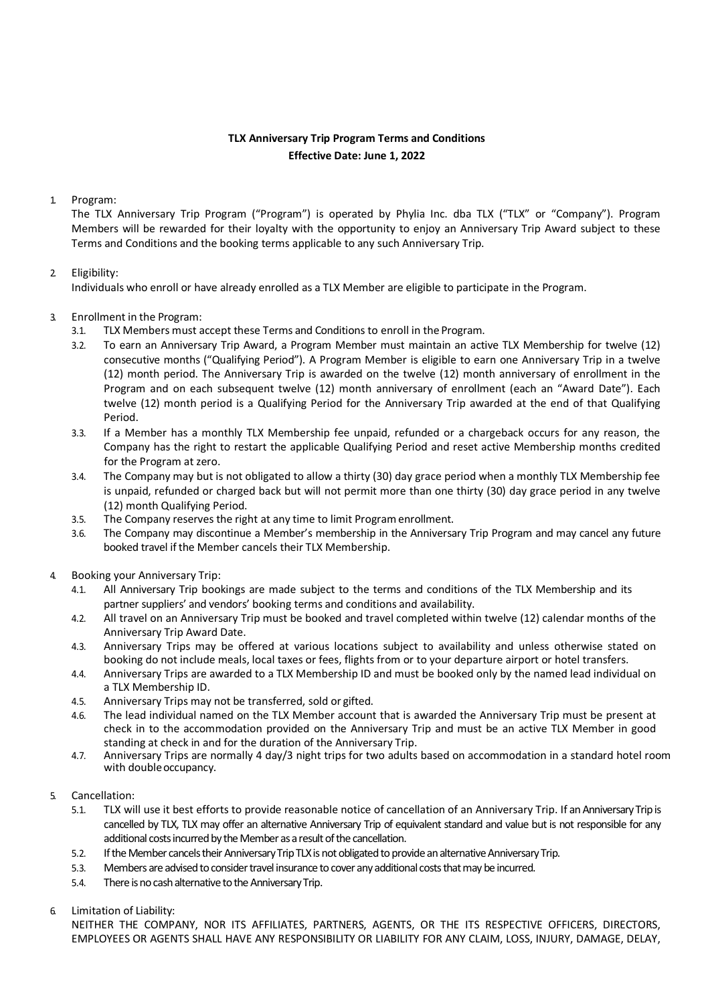# **TLX Anniversary Trip Program Terms and Conditions Effective Date: June 1, 2022**

## 1. Program:

The TLX Anniversary Trip Program ("Program") is operated by Phylia Inc. dba TLX ("TLX" or "Company"). Program Members will be rewarded for their loyalty with the opportunity to enjoy an Anniversary Trip Award subject to these Terms and Conditions and the booking terms applicable to any such Anniversary Trip.

## 2. Eligibility:

Individuals who enroll or have already enrolled as a TLX Member are eligible to participate in the Program.

## 3. Enrollment in the Program:

- 3.1. TLX Members must accept these Terms and Conditions to enroll in the Program.
- 3.2. To earn an Anniversary Trip Award, a Program Member must maintain an active TLX Membership for twelve (12) consecutive months ("Qualifying Period"). A Program Member is eligible to earn one Anniversary Trip in a twelve (12) month period. The Anniversary Trip is awarded on the twelve (12) month anniversary of enrollment in the Program and on each subsequent twelve (12) month anniversary of enrollment (each an "Award Date"). Each twelve (12) month period is a Qualifying Period for the Anniversary Trip awarded at the end of that Qualifying Period.
- 3.3. If a Member has a monthly TLX Membership fee unpaid, refunded or a chargeback occurs for any reason, the Company has the right to restart the applicable Qualifying Period and reset active Membership months credited for the Program at zero.
- 3.4. The Company may but is not obligated to allow a thirty (30) day grace period when a monthly TLX Membership fee is unpaid, refunded or charged back but will not permit more than one thirty (30) day grace period in any twelve (12) month Qualifying Period.
- 3.5. The Company reserves the right at any time to limit Programenrollment.
- 3.6. The Company may discontinue a Member's membership in the Anniversary Trip Program and may cancel any future booked travel if the Member cancels their TLX Membership.
- 4. Booking your Anniversary Trip:
	- 4.1. All Anniversary Trip bookings are made subject to the terms and conditions of the TLX Membership and its partner suppliers' and vendors' booking terms and conditions and availability.
	- 4.2. All travel on an Anniversary Trip must be booked and travel completed within twelve (12) calendar months of the Anniversary Trip Award Date.
	- 4.3. Anniversary Trips may be offered at various locations subject to availability and unless otherwise stated on booking do not include meals, local taxes or fees, flights from or to your departure airport or hotel transfers.
	- 4.4. Anniversary Trips are awarded to a TLX Membership ID and must be booked only by the named lead individual on a TLX Membership ID.
	- 4.5. Anniversary Trips may not be transferred, sold or gifted.
	- 4.6. The lead individual named on the TLX Member account that is awarded the Anniversary Trip must be present at check in to the accommodation provided on the Anniversary Trip and must be an active TLX Member in good standing at check in and for the duration of the Anniversary Trip.
	- 4.7. Anniversary Trips are normally 4 day/3 night trips for two adults based on accommodation in a standard hotel room with double occupancy.
- 5. Cancellation:
	- 5.1. TLX will use it best efforts to provide reasonable notice of cancellation of an Anniversary Trip. If an Anniversary Trip is cancelled by TLX, TLX may offer an alternative Anniversary Trip of equivalent standard and value but is not responsible for any additional costs incurred by the Member as a result of the cancellation.
	- 5.2. If the Member cancels their Anniversary Trip TLX is not obligated to provide an alternative Anniversary Trip.
	- 5.3. Members are advised to consider travel insurance to cover any additional costs that may be incurred.
	- 5.4. There is no cash alternative to the Anniversary Trip.

#### 6. Limitation of Liability:

NEITHER THE COMPANY, NOR ITS AFFILIATES, PARTNERS, AGENTS, OR THE ITS RESPECTIVE OFFICERS, DIRECTORS, EMPLOYEES OR AGENTS SHALL HAVE ANY RESPONSIBILITY OR LIABILITY FOR ANY CLAIM, LOSS, INJURY, DAMAGE, DELAY,